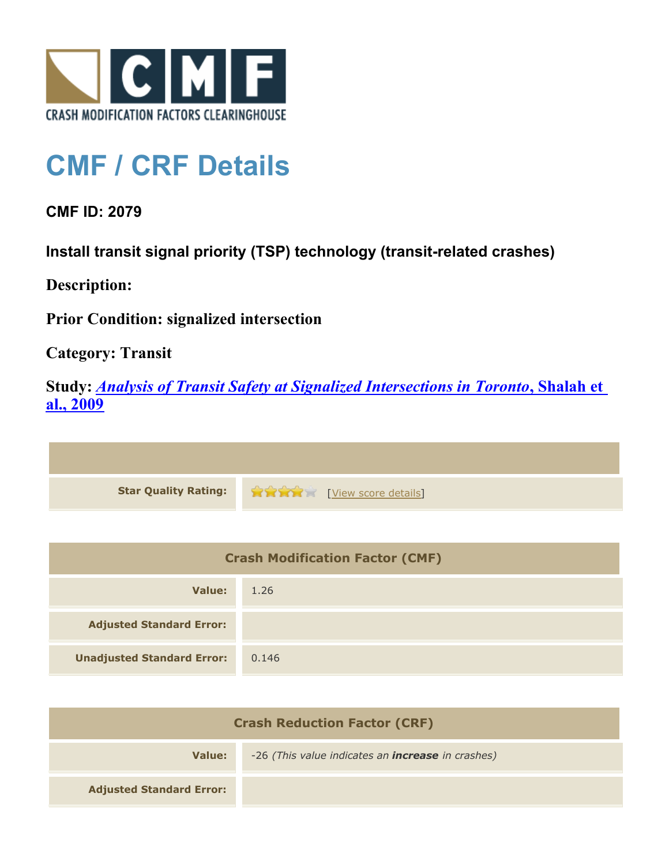

## **CMF / CRF Details**

**CMF ID: 2079**

**Install transit signal priority (TSP) technology (transit-related crashes)**

**Description:** 

**Prior Condition: signalized intersection**

**Category: Transit**

**Study:** *[Analysis of Transit Safety at Signalized Intersections in Toronto](http://www.cmfclearinghouse.org/study_detail.cfm?stid=112)***[, Shalah et](http://www.cmfclearinghouse.org/study_detail.cfm?stid=112) [al., 2009](http://www.cmfclearinghouse.org/study_detail.cfm?stid=112)**

**Star Quality Rating:**  $\frac{1}{2}$  **Compared Principles** [[View score details](http://www.cmfclearinghouse.org/score_details.cfm?facid=2079)]

| <b>Crash Modification Factor (CMF)</b> |       |
|----------------------------------------|-------|
| Value:                                 | 1.26  |
| <b>Adjusted Standard Error:</b>        |       |
| <b>Unadjusted Standard Error:</b>      | 0.146 |

| <b>Crash Reduction Factor (CRF)</b> |                                                          |
|-------------------------------------|----------------------------------------------------------|
| Value:                              | -26 (This value indicates an <b>increase</b> in crashes) |
| <b>Adjusted Standard Error:</b>     |                                                          |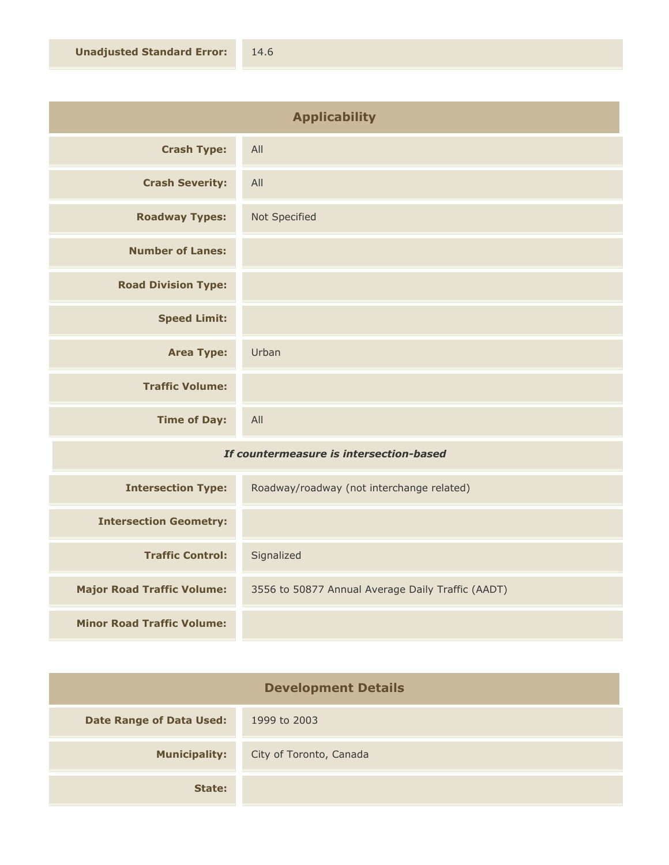| <b>Applicability</b>       |               |
|----------------------------|---------------|
| <b>Crash Type:</b>         | All           |
| <b>Crash Severity:</b>     | All           |
| <b>Roadway Types:</b>      | Not Specified |
| <b>Number of Lanes:</b>    |               |
| <b>Road Division Type:</b> |               |
| <b>Speed Limit:</b>        |               |
| <b>Area Type:</b>          | Urban         |
| <b>Traffic Volume:</b>     |               |
| <b>Time of Day:</b>        | All           |
|                            |               |

## *If countermeasure is intersection-based*

| <b>Intersection Type:</b>         | Roadway/roadway (not interchange related)         |
|-----------------------------------|---------------------------------------------------|
| <b>Intersection Geometry:</b>     |                                                   |
| <b>Traffic Control:</b>           | Signalized                                        |
| <b>Major Road Traffic Volume:</b> | 3556 to 50877 Annual Average Daily Traffic (AADT) |
| <b>Minor Road Traffic Volume:</b> |                                                   |

| <b>Development Details</b>      |                         |
|---------------------------------|-------------------------|
| <b>Date Range of Data Used:</b> | 1999 to 2003            |
| <b>Municipality:</b>            | City of Toronto, Canada |
| State:                          |                         |